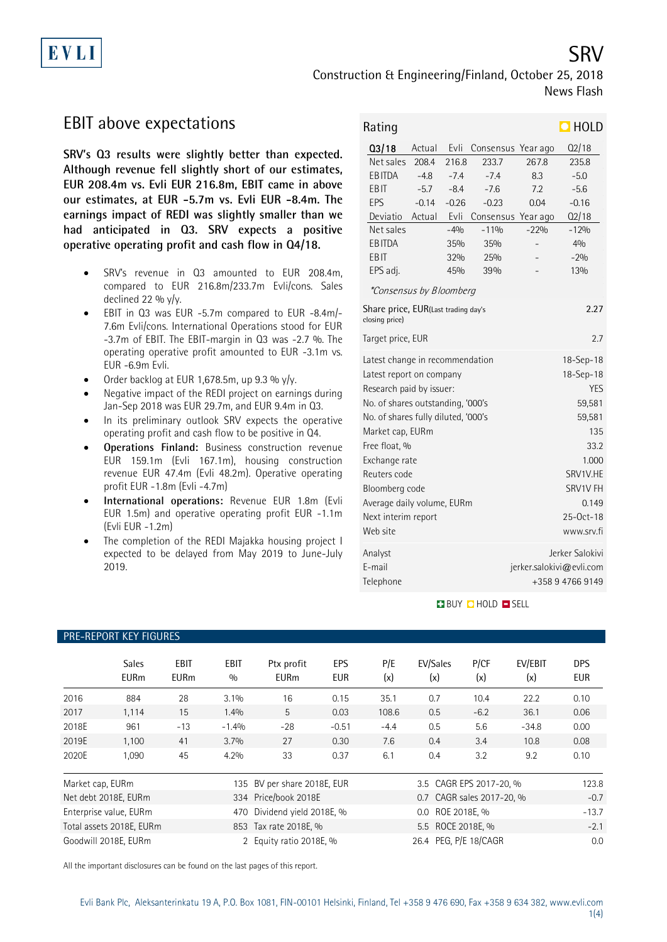EVLI

# Construction & Engineering/Finland, October 25, 2018 News Flash

## EBIT above expectations

**SRV's Q3 results were slightly better than expected. Although revenue fell slightly short of our estimates, EUR 208.4m vs. Evli EUR 216.8m, EBIT came in above our estimates, at EUR -5.7m vs. Evli EUR -8.4m. The earnings impact of REDI was slightly smaller than we had anticipated in Q3. SRV expects a positive operative operating profit and cash flow in Q4/18.** 

- SRV's revenue in Q3 amounted to EUR 208.4m, compared to EUR 216.8m/233.7m Evli/cons. Sales declined 22 %  $y/y$ .
- EBIT in Q3 was EUR -5.7m compared to EUR -8.4m/- 7.6m Evli/cons. International Operations stood for EUR -3.7m of EBIT. The EBIT-margin in Q3 was -2.7 %. The operating operative profit amounted to EUR -3.1m vs. EUR -6.9m Evli.
- Order backlog at EUR 1,678.5m, up 9.3 %  $y/y$ .
- Negative impact of the REDI project on earnings during Jan-Sep 2018 was EUR 29.7m, and EUR 9.4m in Q3.
- In its preliminary outlook SRV expects the operative operating profit and cash flow to be positive in Q4.
- **Operations Finland:** Business construction revenue EUR 159.1m (Evli 167.1m), housing construction revenue EUR 47.4m (Evli 48.2m). Operative operating profit EUR -1.8m (Evli -4.7m)
- **International operations:** Revenue EUR 1.8m (Evli EUR 1.5m) and operative operating profit EUR -1.1m (Evli EUR -1.2m)
- The completion of the REDI Majakka housing project I expected to be delayed from May 2019 to June-July 2019.

| Rating                                                        |         |         |                    |          | $\Box$ HOLD              |  |  |
|---------------------------------------------------------------|---------|---------|--------------------|----------|--------------------------|--|--|
| Q3/18                                                         | Actual  | Evli    | Consensus          | Year ago | Q2/18                    |  |  |
| Net sales                                                     | 208.4   | 216.8   | 233.7              | 267.8    | 235.8                    |  |  |
| EBITDA                                                        | $-4.8$  | $-7.4$  | $-7.4$             | 8.3      | $-5.0$                   |  |  |
| EBIT                                                          | $-5.7$  | $-8.4$  | $-7.6$             | 7.2      | $-5.6$                   |  |  |
| EPS                                                           | $-0.14$ | $-0.26$ | $-0.23$            | 0.04     | $-0.16$                  |  |  |
| Deviatio                                                      | Actual  | Evli    | Consensus Year ago |          | Q2/18                    |  |  |
| Net sales                                                     |         | $-4%$   | $-119/0$           | $-22%$   | $-12%$                   |  |  |
| <b>EBITDA</b>                                                 |         | 35%     | 35%                |          | 40/0                     |  |  |
| EBIT                                                          |         | 32%     | 25%                |          | $-2%$                    |  |  |
| EPS adj.                                                      |         | 45%     | 39%                |          | 13%                      |  |  |
| <i>*Consensus by Bloomberg</i>                                |         |         |                    |          |                          |  |  |
| Share price, EUR(Last trading day's<br>2.27<br>closing price) |         |         |                    |          |                          |  |  |
| Target price, EUR<br>2.7                                      |         |         |                    |          |                          |  |  |
| Latest change in recommendation                               |         |         | 18-Sep-18          |          |                          |  |  |
| Latest report on company                                      |         |         | 18-Sep-18          |          |                          |  |  |
| Research paid by issuer:                                      |         |         | <b>YES</b>         |          |                          |  |  |
| No. of shares outstanding, '000's                             |         |         | 59,581             |          |                          |  |  |
| No. of shares fully diluted, '000's                           |         |         | 59,581             |          |                          |  |  |
| Market cap, EURm                                              |         | 135     |                    |          |                          |  |  |
| Free float, %<br>33.2                                         |         |         |                    |          |                          |  |  |
| Exchange rate                                                 |         |         | 1.000              |          |                          |  |  |
| Reuters code                                                  |         |         | SRV1V.HE           |          |                          |  |  |
| Bloomberg code                                                |         |         | SRV1V FH           |          |                          |  |  |
| Average daily volume, EURm                                    |         |         | 0.149              |          |                          |  |  |
| Next interim report                                           |         |         | 25-Oct-18          |          |                          |  |  |
| Web site                                                      |         |         |                    |          | www.srv.fi               |  |  |
| Analyst                                                       |         |         |                    |          | Jerker Salokivi          |  |  |
| E-mail                                                        |         |         |                    |          | jerker.salokivi@evli.com |  |  |
| Telephone                                                     |         |         | +358947669149      |          |                          |  |  |

## **BUY CHOLD BSELL**

|                                                   | PRE-REPORT KEY FIGURES      |                                                    |                      |                             |                          |                           |                       |             |                |                          |
|---------------------------------------------------|-----------------------------|----------------------------------------------------|----------------------|-----------------------------|--------------------------|---------------------------|-----------------------|-------------|----------------|--------------------------|
|                                                   | <b>Sales</b><br><b>EURm</b> | <b>EBIT</b><br><b>EURm</b>                         | <b>EBIT</b><br>0/0   | Ptx profit<br><b>EURm</b>   | <b>EPS</b><br><b>EUR</b> | P/E<br>(x)                | EV/Sales<br>(x)       | P/CF<br>(x) | EV/EBIT<br>(x) | <b>DPS</b><br><b>EUR</b> |
| 2016                                              | 884                         | 28                                                 | $3.1\%$              | 16                          | 0.15                     | 35.1                      | 0.7                   | 10.4        | 22.2           | 0.10                     |
| 2017                                              | 1,114                       | 15                                                 | 1.4%                 | 5                           | 0.03                     | 108.6                     | 0.5                   | $-6.2$      | 36.1           | 0.06                     |
| 2018E                                             | 961                         | $-13$                                              | $-1.4%$              | $-28$                       | $-0.51$                  | $-4.4$                    | 0.5                   | 5.6         | $-34.8$        | 0.00                     |
| 2019E                                             | 1,100                       | 41                                                 | 3.7%                 | 27                          | 0.30                     | 7.6                       | 0.4                   | 3.4         | 10.8           | 0.08                     |
| 2020E                                             | 1,090                       | 45                                                 | 4.2%                 | 33                          | 0.37                     | 6.1                       | 0.4                   | 3.2         | 9.2            | 0.10                     |
| Market cap, EURm                                  |                             |                                                    |                      | 135 BV per share 2018E, EUR |                          | 3.5 CAGR EPS 2017-20, %   |                       |             |                | 123.8                    |
| Net debt 2018E, EURm                              |                             |                                                    | 334 Price/book 2018E |                             |                          | 0.7 CAGR sales 2017-20, % |                       |             | $-0.7$         |                          |
|                                                   | Enterprise value, EURm      | Dividend yield 2018E, %<br>0.0 ROE 2018E, %<br>470 |                      |                             |                          | $-13.7$                   |                       |             |                |                          |
| Total assets 2018E, EURm<br>853 Tax rate 2018E, % |                             |                                                    |                      | 5.5 ROCE 2018E, %           |                          |                           | $-2.1$                |             |                |                          |
|                                                   | Goodwill 2018E. EURm        |                                                    |                      | 2 Equity ratio 2018E, %     |                          |                           | 26.4 PEG, P/E 18/CAGR |             |                | 0.0                      |

All the important disclosures can be found on the last pages of this report.

### 1(4)

# SRV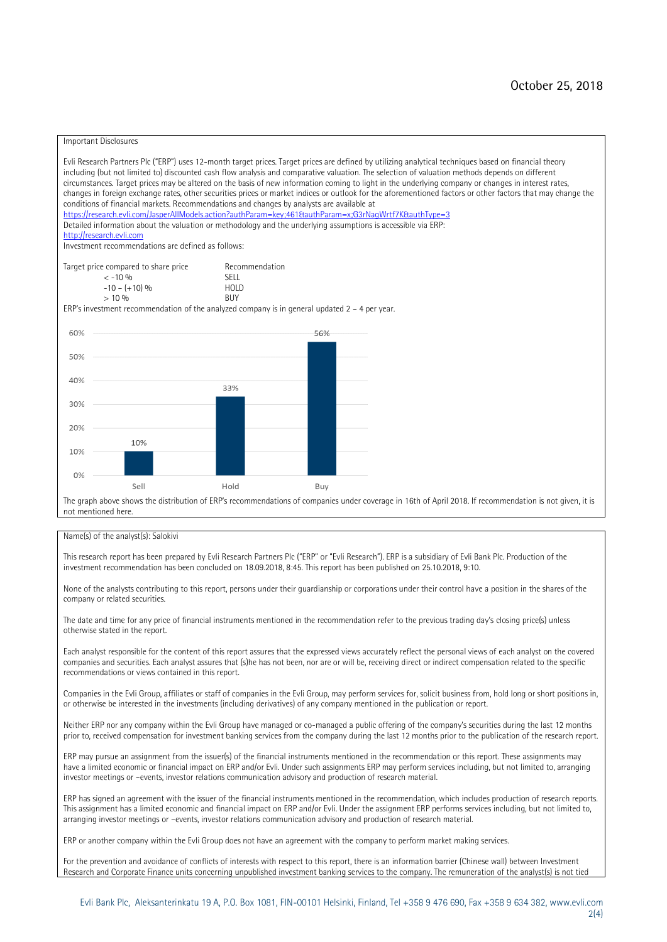### Important Disclosures

Evli Research Partners Plc ("ERP") uses 12-month target prices. Target prices are defined by utilizing analytical techniques based on financial theory including (but not limited to) discounted cash flow analysis and comparative valuation. The selection of valuation methods depends on different circumstances. Target prices may be altered on the basis of new information coming to light in the underlying company or changes in interest rates, changes in foreign exchange rates, other securities prices or market indices or outlook for the aforementioned factors or other factors that may change the conditions of financial markets. Recommendations and changes by analysts are available at <https://research.evli.com/JasperAllModels.action?authParam=key;461&authParam=x;G3rNagWrtf7K&authType=3> Detailed information about the valuation or methodology and the underlying assumptions is accessible via ERP: [http://research.evli.com](http://research.evli.com/) Investment recommendations are defined as follows: Target price compared to share price Recommendation<br> $\leq 10\%$  $\langle 5, -10, 9 \rangle$  SELL<br>  $\langle -10, - (+10), 9 \rangle$  HOLD  $-10 - (+10) \%$  HOL<br>  $> 10 \%$  $> 10\%$ ERP's investment recommendation of the analyzed company is in general updated  $2 - 4$  per year. 60% 56% 50% 40% 33%  $30%$ 20% 10% 10%  $0%$ Sell Hold Buy The graph above shows the distribution of ERP's recommendations of companies under coverage in 16th of April 2018. If recommendation is not given, it is not mentioned here.

### Name(s) of the analyst(s): Salokivi

This research report has been prepared by Evli Research Partners Plc ("ERP" or "Evli Research"). ERP is a subsidiary of Evli Bank Plc. Production of the investment recommendation has been concluded on 18.09.2018, 8:45. This report has been published on 25.10.2018, 9:10.

None of the analysts contributing to this report, persons under their guardianship or corporations under their control have a position in the shares of the company or related securities.

The date and time for any price of financial instruments mentioned in the recommendation refer to the previous trading day's closing price(s) unless otherwise stated in the report.

Each analyst responsible for the content of this report assures that the expressed views accurately reflect the personal views of each analyst on the covered companies and securities. Each analyst assures that (s)he has not been, nor are or will be, receiving direct or indirect compensation related to the specific recommendations or views contained in this report.

Companies in the Evli Group, affiliates or staff of companies in the Evli Group, may perform services for, solicit business from, hold long or short positions in, or otherwise be interested in the investments (including derivatives) of any company mentioned in the publication or report.

Neither ERP nor any company within the Evli Group have managed or co-managed a public offering of the company's securities during the last 12 months prior to, received compensation for investment banking services from the company during the last 12 months prior to the publication of the research report.

ERP may pursue an assignment from the issuer(s) of the financial instruments mentioned in the recommendation or this report. These assignments may have a limited economic or financial impact on ERP and/or Evli. Under such assignments ERP may perform services including, but not limited to, arranging investor meetings or –events, investor relations communication advisory and production of research material.

ERP has signed an agreement with the issuer of the financial instruments mentioned in the recommendation, which includes production of research reports. This assignment has a limited economic and financial impact on ERP and/or Evli. Under the assignment ERP performs services including, but not limited to, arranging investor meetings or –events, investor relations communication advisory and production of research material.

ERP or another company within the Evli Group does not have an agreement with the company to perform market making services.

For the prevention and avoidance of conflicts of interests with respect to this report, there is an information barrier (Chinese wall) between Investment Research and Corporate Finance units concerning unpublished investment banking services to the company. The remuneration of the analyst(s) is not tied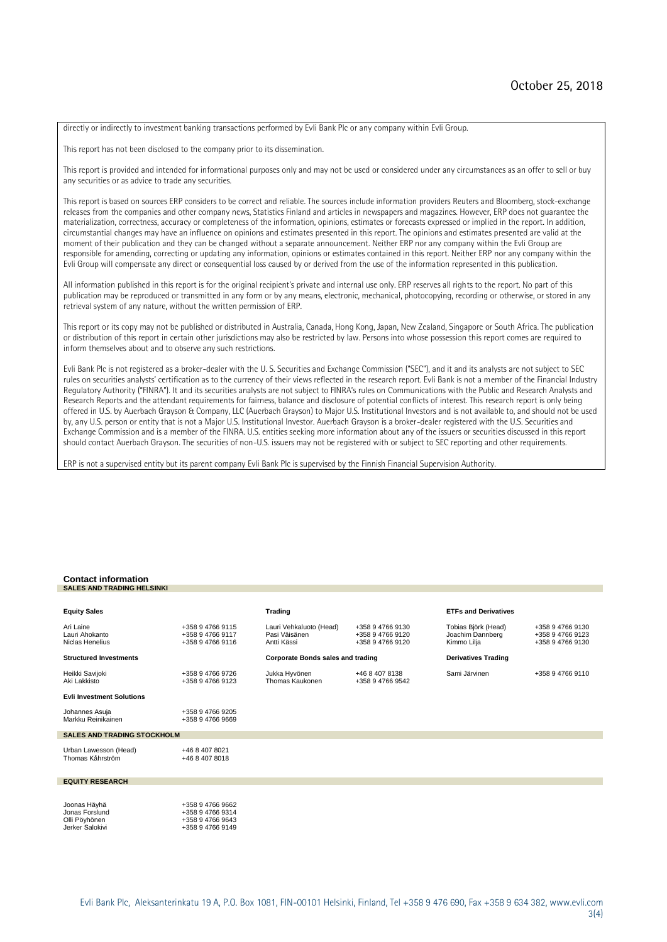directly or indirectly to investment banking transactions performed by Evli Bank Plc or any company within Evli Group.

This report has not been disclosed to the company prior to its dissemination.

This report is provided and intended for informational purposes only and may not be used or considered under any circumstances as an offer to sell or buy any securities or as advice to trade any securities.

This report is based on sources ERP considers to be correct and reliable. The sources include information providers Reuters and Bloomberg, stock-exchange releases from the companies and other company news, Statistics Finland and articles in newspapers and magazines. However, ERP does not guarantee the materialization, correctness, accuracy or completeness of the information, opinions, estimates or forecasts expressed or implied in the report. In addition, circumstantial changes may have an influence on opinions and estimates presented in this report. The opinions and estimates presented are valid at the moment of their publication and they can be changed without a separate announcement. Neither ERP nor any company within the Evli Group are responsible for amending, correcting or updating any information, opinions or estimates contained in this report. Neither ERP nor any company within the Evli Group will compensate any direct or consequential loss caused by or derived from the use of the information represented in this publication.

All information published in this report is for the original recipient's private and internal use only. ERP reserves all rights to the report. No part of this publication may be reproduced or transmitted in any form or by any means, electronic, mechanical, photocopying, recording or otherwise, or stored in any retrieval system of any nature, without the written permission of ERP.

This report or its copy may not be published or distributed in Australia, Canada, Hong Kong, Japan, New Zealand, Singapore or South Africa. The publication or distribution of this report in certain other jurisdictions may also be restricted by law. Persons into whose possession this report comes are required to inform themselves about and to observe any such restrictions.

Evli Bank Plc is not registered as a broker-dealer with the U. S. Securities and Exchange Commission ("SEC"), and it and its analysts are not subject to SEC rules on securities analysts' certification as to the currency of their views reflected in the research report. Evli Bank is not a member of the Financial Industry Regulatory Authority ("FINRA"). It and its securities analysts are not subject to FINRA's rules on Communications with the Public and Research Analysts and Research Reports and the attendant requirements for fairness, balance and disclosure of potential conflicts of interest. This research report is only being offered in U.S. by Auerbach Grayson & Company, LLC (Auerbach Grayson) to Major U.S. Institutional Investors and is not available to, and should not be used by, any U.S. person or entity that is not a Major U.S. Institutional Investor. Auerbach Grayson is a broker-dealer registered with the U.S. Securities and Exchange Commission and is a member of the FINRA. U.S. entities seeking more information about any of the issuers or securities discussed in this report should contact Auerbach Grayson. The securities of non-U.S. issuers may not be registered with or subject to SEC reporting and other requirements.

ERP is not a supervised entity but its parent company Evli Bank Plc is supervised by the Finnish Financial Supervision Authority.

#### **Contact information SALES AND TRADING HELSINKI**

| <b>Equity Sales</b>                            |                                                          | <b>Trading</b>                                          |                                                          | <b>ETFs and Derivatives</b>                            |                                                          |
|------------------------------------------------|----------------------------------------------------------|---------------------------------------------------------|----------------------------------------------------------|--------------------------------------------------------|----------------------------------------------------------|
| Ari Laine<br>Lauri Ahokanto<br>Niclas Henelius | +358 9 4766 9115<br>+358 9 4766 9117<br>+358 9 4766 9116 | Lauri Vehkaluoto (Head)<br>Pasi Väisänen<br>Antti Kässi | +358 9 4766 9130<br>+358 9 4766 9120<br>+358 9 4766 9120 | Tobias Björk (Head)<br>Joachim Dannberg<br>Kimmo Lilja | +358 9 4766 9130<br>+358 9 4766 9123<br>+358 9 4766 9130 |
| <b>Structured Investments</b>                  |                                                          | <b>Corporate Bonds sales and trading</b>                |                                                          | <b>Derivatives Trading</b>                             |                                                          |
| Heikki Savijoki<br>Aki Lakkisto                | +358 9 4766 9726<br>+358 9 4766 9123                     | Jukka Hyvönen<br>Thomas Kaukonen                        | +46 8 407 8138<br>+358 9 4766 9542                       | Sami Järvinen                                          | +358 9 4766 9110                                         |
| <b>Evli Investment Solutions</b>               |                                                          |                                                         |                                                          |                                                        |                                                          |
| Johannes Asuja<br>Markku Reinikainen           | +358 9 4766 9205<br>+358 9 4766 9669                     |                                                         |                                                          |                                                        |                                                          |
| <b>SALES AND TRADING STOCKHOLM</b>             |                                                          |                                                         |                                                          |                                                        |                                                          |
| Urban Lawesson (Head)<br>Thomas Kåhrström      | +46 8 407 8021<br>+46 8 407 8018                         |                                                         |                                                          |                                                        |                                                          |
| <b>EQUITY RESEARCH</b>                         |                                                          |                                                         |                                                          |                                                        |                                                          |
| Joonas Häyhä<br>Jonas Forslund                 | +358 9 4766 9662<br>+358 9 4766 9314                     |                                                         |                                                          |                                                        |                                                          |
| Olli Pövhönen                                  | +358 9 4766 9643                                         |                                                         |                                                          |                                                        |                                                          |

Jerker Salokivi +358 9 4766 9149